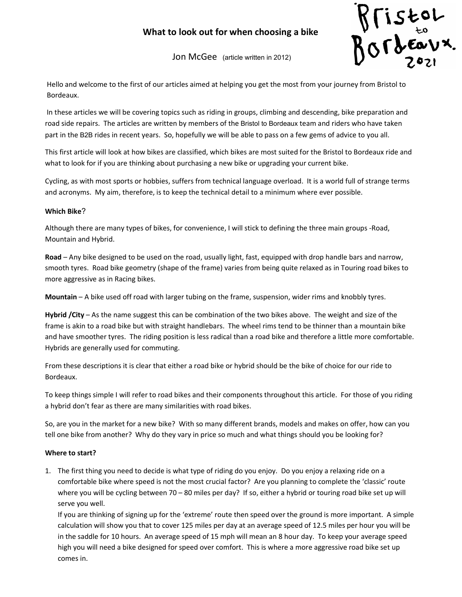# What to look out for when choosing a bike



Jon McGee (article written in 2012)

Hello and welcome to the first of our articles aimed at helping you get the most from your journey from Bristol to Bordeaux.

 In these articles we will be covering topics such as riding in groups, climbing and descending, bike preparation and road side repairs. The articles are written by members of the Bristol to Bordeaux team and riders who have taken part in the B2B rides in recent years. So, hopefully we will be able to pass on a few gems of advice to you all.

This first article will look at how bikes are classified, which bikes are most suited for the Bristol to Bordeaux ride and what to look for if you are thinking about purchasing a new bike or upgrading your current bike.

Cycling, as with most sports or hobbies, suffers from technical language overload. It is a world full of strange terms and acronyms. My aim, therefore, is to keep the technical detail to a minimum where ever possible.

## Which Bike?

Although there are many types of bikes, for convenience, I will stick to defining the three main groups -Road, Mountain and Hybrid.

Road – Any bike designed to be used on the road, usually light, fast, equipped with drop handle bars and narrow, smooth tyres. Road bike geometry (shape of the frame) varies from being quite relaxed as in Touring road bikes to more aggressive as in Racing bikes.

Mountain – A bike used off road with larger tubing on the frame, suspension, wider rims and knobbly tyres.

Hybrid /City - As the name suggest this can be combination of the two bikes above. The weight and size of the frame is akin to a road bike but with straight handlebars. The wheel rims tend to be thinner than a mountain bike and have smoother tyres. The riding position is less radical than a road bike and therefore a little more comfortable. Hybrids are generally used for commuting.

From these descriptions it is clear that either a road bike or hybrid should be the bike of choice for our ride to Bordeaux.

To keep things simple I will refer to road bikes and their components throughout this article. For those of you riding a hybrid don't fear as there are many similarities with road bikes.

So, are you in the market for a new bike? With so many different brands, models and makes on offer, how can you tell one bike from another? Why do they vary in price so much and what things should you be looking for?

## Where to start?

1. The first thing you need to decide is what type of riding do you enjoy. Do you enjoy a relaxing ride on a comfortable bike where speed is not the most crucial factor? Are you planning to complete the 'classic' route where you will be cycling between 70 – 80 miles per day? If so, either a hybrid or touring road bike set up will serve you well.

If you are thinking of signing up for the 'extreme' route then speed over the ground is more important. A simple calculation will show you that to cover 125 miles per day at an average speed of 12.5 miles per hour you will be in the saddle for 10 hours. An average speed of 15 mph will mean an 8 hour day. To keep your average speed high you will need a bike designed for speed over comfort. This is where a more aggressive road bike set up comes in.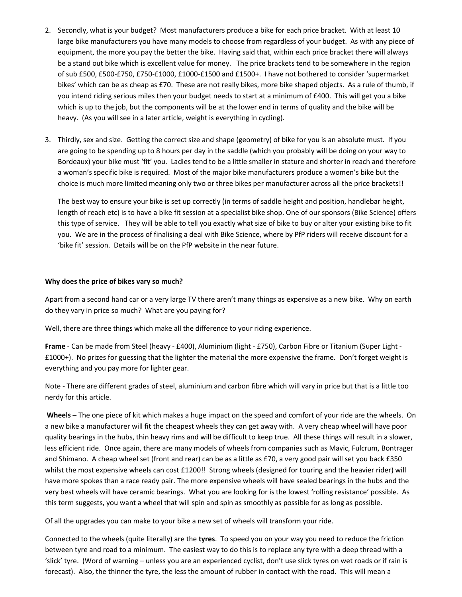- 2. Secondly, what is your budget? Most manufacturers produce a bike for each price bracket. With at least 10 large bike manufacturers you have many models to choose from regardless of your budget. As with any piece of equipment, the more you pay the better the bike. Having said that, within each price bracket there will always be a stand out bike which is excellent value for money. The price brackets tend to be somewhere in the region of sub £500, £500-£750, £750-£1000, £1000-£1500 and £1500+. I have not bothered to consider 'supermarket bikes' which can be as cheap as £70. These are not really bikes, more bike shaped objects. As a rule of thumb, if you intend riding serious miles then your budget needs to start at a minimum of £400. This will get you a bike which is up to the job, but the components will be at the lower end in terms of quality and the bike will be heavy. (As you will see in a later article, weight is everything in cycling).
- 3. Thirdly, sex and size. Getting the correct size and shape (geometry) of bike for you is an absolute must. If you are going to be spending up to 8 hours per day in the saddle (which you probably will be doing on your way to Bordeaux) your bike must 'fit' you. Ladies tend to be a little smaller in stature and shorter in reach and therefore a woman's specific bike is required. Most of the major bike manufacturers produce a women's bike but the choice is much more limited meaning only two or three bikes per manufacturer across all the price brackets!!

The best way to ensure your bike is set up correctly (in terms of saddle height and position, handlebar height, length of reach etc) is to have a bike fit session at a specialist bike shop. One of our sponsors (Bike Science) offers this type of service. They will be able to tell you exactly what size of bike to buy or alter your existing bike to fit you. We are in the process of finalising a deal with Bike Science, where by PfP riders will receive discount for a 'bike fit' session. Details will be on the PfP website in the near future.

## Why does the price of bikes vary so much?

Apart from a second hand car or a very large TV there aren't many things as expensive as a new bike. Why on earth do they vary in price so much? What are you paying for?

Well, there are three things which make all the difference to your riding experience.

Frame - Can be made from Steel (heavy - £400), Aluminium (light - £750), Carbon Fibre or Titanium (Super Light - £1000+). No prizes for guessing that the lighter the material the more expensive the frame. Don't forget weight is everything and you pay more for lighter gear.

Note - There are different grades of steel, aluminium and carbon fibre which will vary in price but that is a little too nerdy for this article.

 Wheels – The one piece of kit which makes a huge impact on the speed and comfort of your ride are the wheels. On a new bike a manufacturer will fit the cheapest wheels they can get away with. A very cheap wheel will have poor quality bearings in the hubs, thin heavy rims and will be difficult to keep true. All these things will result in a slower, less efficient ride. Once again, there are many models of wheels from companies such as Mavic, Fulcrum, Bontrager and Shimano. A cheap wheel set (front and rear) can be as a little as £70, a very good pair will set you back £350 whilst the most expensive wheels can cost £1200!! Strong wheels (designed for touring and the heavier rider) will have more spokes than a race ready pair. The more expensive wheels will have sealed bearings in the hubs and the very best wheels will have ceramic bearings. What you are looking for is the lowest 'rolling resistance' possible. As this term suggests, you want a wheel that will spin and spin as smoothly as possible for as long as possible.

Of all the upgrades you can make to your bike a new set of wheels will transform your ride.

Connected to the wheels (quite literally) are the tyres. To speed you on your way you need to reduce the friction between tyre and road to a minimum. The easiest way to do this is to replace any tyre with a deep thread with a 'slick' tyre. (Word of warning – unless you are an experienced cyclist, don't use slick tyres on wet roads or if rain is forecast). Also, the thinner the tyre, the less the amount of rubber in contact with the road. This will mean a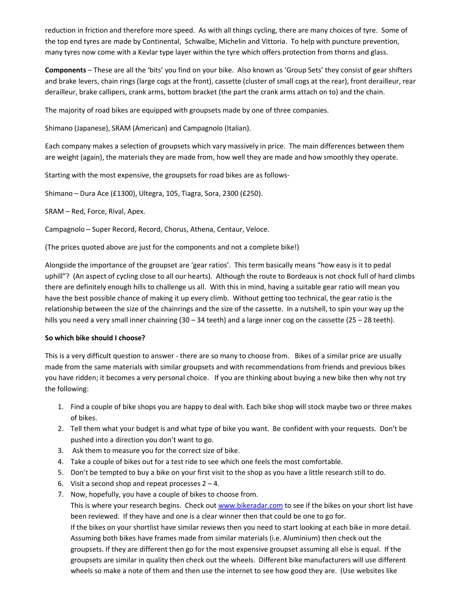reduction in friction and therefore more speed. As with all things cycling, there are many choices of tyre. Some of the top end tyres are made by Continental, Schwalbe, Michelin and Vittoria. To help with puncture prevention, many tyres now come with a Kevlar type layer within the tyre which offers protection from thorns and glass.

Components – These are all the 'bits' you find on your bike. Also known as 'Group Sets' they consist of gear shifters and brake levers, chain rings (large cogs at the front), cassette (cluster of small cogs at the rear), front derailleur, rear derailleur, brake callipers, crank arms, bottom bracket (the part the crank arms attach on to) and the chain.

The majority of road bikes are equipped with groupsets made by one of three companies.

Shimano (Japanese), SRAM (American) and Campagnolo (Italian).

Each company makes a selection of groupsets which vary massively in price. The main differences between them are weight (again), the materials they are made from, how well they are made and how smoothly they operate.

Starting with the most expensive, the groupsets for road bikes are as follows-

Shimano – Dura Ace (£1300), Ultegra, 105, Tiagra, Sora, 2300 (£250).

SRAM – Red, Force, Rival, Apex.

Campagnolo – Super Record, Record, Chorus, Athena, Centaur, Veloce.

(The prices quoted above are just for the components and not a complete bike!)

Alongside the importance of the groupset are 'gear ratios'. This term basically means "how easy is it to pedal uphill"? (An aspect of cycling close to all our hearts). Although the route to Bordeaux is not chock full of hard climbs there are definitely enough hills to challenge us all. With this in mind, having a suitable gear ratio will mean you have the best possible chance of making it up every climb. Without getting too technical, the gear ratio is the relationship between the size of the chainrings and the size of the cassette. In a nutshell, to spin your way up the hills you need a very small inner chainring (30 – 34 teeth) and a large inner cog on the cassette (25 – 28 teeth).

## So which bike should I choose?

This is a very difficult question to answer - there are so many to choose from. Bikes of a similar price are usually made from the same materials with similar groupsets and with recommendations from friends and previous bikes you have ridden; it becomes a very personal choice. If you are thinking about buying a new bike then why not try the following:

- 1. Find a couple of bike shops you are happy to deal with. Each bike shop will stock maybe two or three makes of bikes.
- 2. Tell them what your budget is and what type of bike you want. Be confident with your requests. Don't be pushed into a direction you don't want to go.
- 3. Ask them to measure you for the correct size of bike.
- 4. Take a couple of bikes out for a test ride to see which one feels the most comfortable.
- 5. Don't be tempted to buy a bike on your first visit to the shop as you have a little research still to do.
- 6. Visit a second shop and repeat processes  $2 4$ .
- 7. Now, hopefully, you have a couple of bikes to choose from.

This is where your research begins. Check out www.bikeradar.com to see if the bikes on your short list have been reviewed. If they have and one is a clear winner then that could be one to go for. If the bikes on your shortlist have similar reviews then you need to start looking at each bike in more detail. Assuming both bikes have frames made from similar materials (i.e. Aluminium) then check out the groupsets. If they are different then go for the most expensive groupset assuming all else is equal. If the groupsets are similar in quality then check out the wheels. Different bike manufacturers will use different wheels so make a note of them and then use the internet to see how good they are. (Use websites like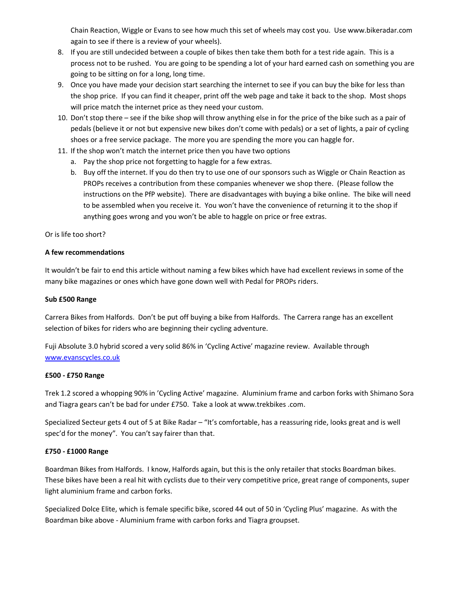Chain Reaction, Wiggle or Evans to see how much this set of wheels may cost you. Use www.bikeradar.com again to see if there is a review of your wheels).

- 8. If you are still undecided between a couple of bikes then take them both for a test ride again. This is a process not to be rushed. You are going to be spending a lot of your hard earned cash on something you are going to be sitting on for a long, long time.
- 9. Once you have made your decision start searching the internet to see if you can buy the bike for less than the shop price. If you can find it cheaper, print off the web page and take it back to the shop. Most shops will price match the internet price as they need your custom.
- 10. Don't stop there see if the bike shop will throw anything else in for the price of the bike such as a pair of pedals (believe it or not but expensive new bikes don't come with pedals) or a set of lights, a pair of cycling shoes or a free service package. The more you are spending the more you can haggle for.
- 11. If the shop won't match the internet price then you have two options
	- a. Pay the shop price not forgetting to haggle for a few extras.
	- b. Buy off the internet. If you do then try to use one of our sponsors such as Wiggle or Chain Reaction as PROPs receives a contribution from these companies whenever we shop there. (Please follow the instructions on the PfP website). There are disadvantages with buying a bike online. The bike will need to be assembled when you receive it. You won't have the convenience of returning it to the shop if anything goes wrong and you won't be able to haggle on price or free extras.

Or is life too short?

## A few recommendations

It wouldn't be fair to end this article without naming a few bikes which have had excellent reviews in some of the many bike magazines or ones which have gone down well with Pedal for PROPs riders.

## Sub £500 Range

Carrera Bikes from Halfords. Don't be put off buying a bike from Halfords. The Carrera range has an excellent selection of bikes for riders who are beginning their cycling adventure.

Fuji Absolute 3.0 hybrid scored a very solid 86% in 'Cycling Active' magazine review. Available through www.evanscycles.co.uk

## £500 - £750 Range

Trek 1.2 scored a whopping 90% in 'Cycling Active' magazine. Aluminium frame and carbon forks with Shimano Sora and Tiagra gears can't be bad for under £750. Take a look at www.trekbikes .com.

Specialized Secteur gets 4 out of 5 at Bike Radar – "It's comfortable, has a reassuring ride, looks great and is well spec'd for the money". You can't say fairer than that.

## £750 - £1000 Range

Boardman Bikes from Halfords. I know, Halfords again, but this is the only retailer that stocks Boardman bikes. These bikes have been a real hit with cyclists due to their very competitive price, great range of components, super light aluminium frame and carbon forks.

Specialized Dolce Elite, which is female specific bike, scored 44 out of 50 in 'Cycling Plus' magazine. As with the Boardman bike above - Aluminium frame with carbon forks and Tiagra groupset.